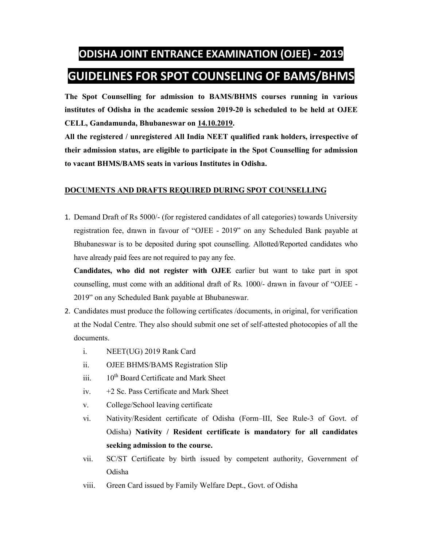## **ODISHA JOINT ENTRANCE EXAMINATION (OJEE) - 2019 GUIDELINES FOR SPOT COUNSELING OF BAMS/BHMS**

**The Spot Counselling for admission to BAMS/BHMS courses running in various institutes of Odisha in the academic session 2019-20 is scheduled to be held at OJEE CELL, Gandamunda, Bhubaneswar on 14.10.2019.** 

**All the registered / unregistered All India NEET qualified rank holders, irrespective of their admission status, are eligible to participate in the Spot Counselling for admission to vacant BHMS/BAMS seats in various Institutes in Odisha.** 

## **DOCUMENTS AND DRAFTS REQUIRED DURING SPOT COUNSELLING**

1. Demand Draft of Rs 5000/- (for registered candidates of all categories) towards University registration fee, drawn in favour of "OJEE - 2019" on any Scheduled Bank payable at Bhubaneswar is to be deposited during spot counselling. Allotted/Reported candidates who have already paid fees are not required to pay any fee.

**Candidates, who did not register with OJEE** earlier but want to take part in spot counselling, must come with an additional draft of Rs. 1000/- drawn in favour of "OJEE - 2019" on any Scheduled Bank payable at Bhubaneswar.

- 2. Candidates must produce the following certificates /documents, in original, for verification at the Nodal Centre. They also should submit one set of self-attested photocopies of all the documents.
	- i. NEET(UG) 2019 Rank Card
	- ii. OJEE BHMS/BAMS Registration Slip
	- iii.  $10^{th}$  Board Certificate and Mark Sheet
	- iv. +2 Sc. Pass Certificate and Mark Sheet
	- v. College/School leaving certificate
	- vi. Nativity/Resident certificate of Odisha (Form–III, See Rule-3 of Govt. of Odisha) **Nativity / Resident certificate is mandatory for all candidates seeking admission to the course.**
	- vii. SC/ST Certificate by birth issued by competent authority, Government of Odisha
	- viii. Green Card issued by Family Welfare Dept., Govt. of Odisha